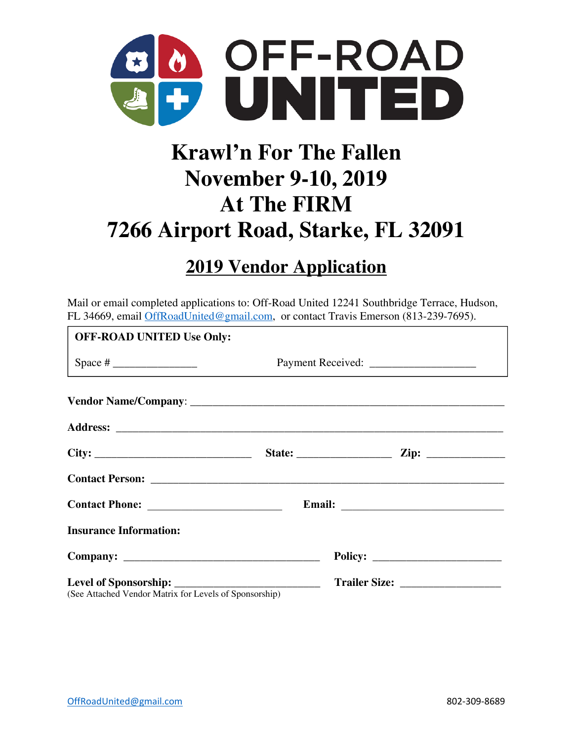

# **Krawl'n For The Fallen November 9-10, 2019 At The FIRM 7266 Airport Road, Starke, FL 32091**

# **2019 Vendor Application**

Mail or email completed applications to: Off-Road United 12241 Southbridge Terrace, Hudson, FL 34669, email OffRoadUnited@gmail.com, or contact Travis Emerson (813-239-7695).

| <b>OFF-ROAD UNITED Use Only:</b>                           |  |  |  |  |  |
|------------------------------------------------------------|--|--|--|--|--|
| Space # $\frac{1}{\sqrt{1-\frac{1}{2}} \cdot \frac{1}{2}}$ |  |  |  |  |  |
|                                                            |  |  |  |  |  |
|                                                            |  |  |  |  |  |
|                                                            |  |  |  |  |  |
|                                                            |  |  |  |  |  |
|                                                            |  |  |  |  |  |
| <b>Insurance Information:</b>                              |  |  |  |  |  |
|                                                            |  |  |  |  |  |
| (See Attached Vendor Matrix for Levels of Sponsorship)     |  |  |  |  |  |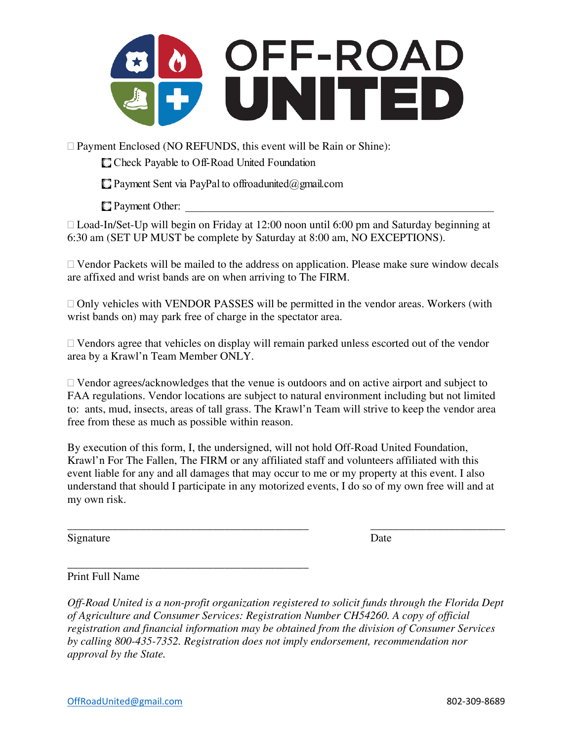

Payment Enclosed (NO REFUNDS, this event will be Rain or Shine):

C Check Payable to Off-Road United Foundation

 $\Box$  Payment Sent via PayPal to offroadunited@gmail.com

 $\Box$  Payment Other:

□ Load-In/Set-Up will begin on Friday at 12:00 noon until 6:00 pm and Saturday beginning at 6:30 am (SET UP MUST be complete by Saturday at 8:00 am, NO EXCEPTIONS).

 $\Box$  Vendor Packets will be mailed to the address on application. Please make sure window decals are affixed and wrist bands are on when arriving to The FIRM.

 $\Box$  Only vehicles with VENDOR PASSES will be permitted in the vendor areas. Workers (with wrist bands on) may park free of charge in the spectator area.

 $\Box$  Vendors agree that vehicles on display will remain parked unless escorted out of the vendor area by a Krawl'n Team Member ONLY.

 Vendor agrees/acknowledges that the venue is outdoors and on active airport and subject to FAA regulations. Vendor locations are subject to natural environment including but not limited to: ants, mud, insects, areas of tall grass. The Krawl'n Team will strive to keep the vendor area free from these as much as possible within reason.

By execution of this form, I, the undersigned, will not hold Off-Road United Foundation, Krawl'n For The Fallen, The FIRM or any affiliated staff and volunteers affiliated with this event liable for any and all damages that may occur to me or my property at this event. I also understand that should I participate in any motorized events, I do so of my own free will and at my own risk.

\_\_\_\_\_\_\_\_\_\_\_\_\_\_\_\_\_\_\_\_\_\_\_\_\_\_\_\_\_\_\_\_\_\_\_\_\_\_\_\_\_\_\_ \_\_\_\_\_\_\_\_\_\_\_\_\_\_\_\_\_\_\_\_\_\_\_\_

Signature Date

#### Print Full Name

\_\_\_\_\_\_\_\_\_\_\_\_\_\_\_\_\_\_\_\_\_\_\_\_\_\_\_\_\_\_\_\_\_\_\_\_\_\_\_\_\_\_\_

*Off-Road United is a non-profit organization registered to solicit funds through the Florida Dept of Agriculture and Consumer Services: Registration Number CH54260. A copy of official registration and financial information may be obtained from the division of Consumer Services by calling 800-435-7352. Registration does not imply endorsement, recommendation nor approval by the State.*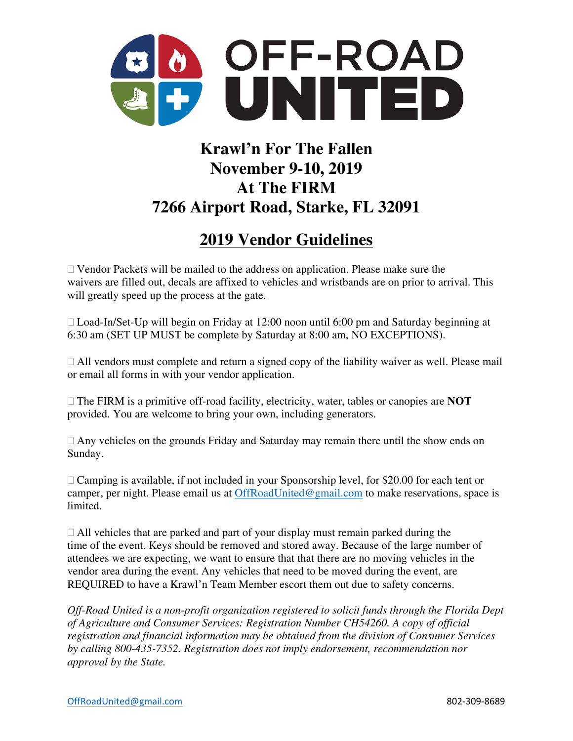

## **Krawl'n For The Fallen November 9-10, 2019 At The FIRM 7266 Airport Road, Starke, FL 32091**

### **2019 Vendor Guidelines**

 $\Box$  Vendor Packets will be mailed to the address on application. Please make sure the waivers are filled out, decals are affixed to vehicles and wristbands are on prior to arrival. This will greatly speed up the process at the gate.

 $\Box$  Load-In/Set-Up will begin on Friday at 12:00 noon until 6:00 pm and Saturday beginning at 6:30 am (SET UP MUST be complete by Saturday at 8:00 am, NO EXCEPTIONS).

 $\Box$  All vendors must complete and return a signed copy of the liability waiver as well. Please mail or email all forms in with your vendor application.

 The FIRM is a primitive off-road facility, electricity, water, tables or canopies are **NOT** provided. You are welcome to bring your own, including generators.

 $\Box$  Any vehicles on the grounds Friday and Saturday may remain there until the show ends on Sunday.

 $\Box$  Camping is available, if not included in your Sponsorship level, for \$20.00 for each tent or camper, per night. Please email us at OffRoadUnited@gmail.com to make reservations, space is limited.

 $\Box$  All vehicles that are parked and part of your display must remain parked during the time of the event. Keys should be removed and stored away. Because of the large number of attendees we are expecting, we want to ensure that that there are no moving vehicles in the vendor area during the event. Any vehicles that need to be moved during the event, are REQUIRED to have a Krawl'n Team Member escort them out due to safety concerns.

*Off-Road United is a non-profit organization registered to solicit funds through the Florida Dept of Agriculture and Consumer Services: Registration Number CH54260. A copy of official registration and financial information may be obtained from the division of Consumer Services by calling 800-435-7352. Registration does not imply endorsement, recommendation nor approval by the State.*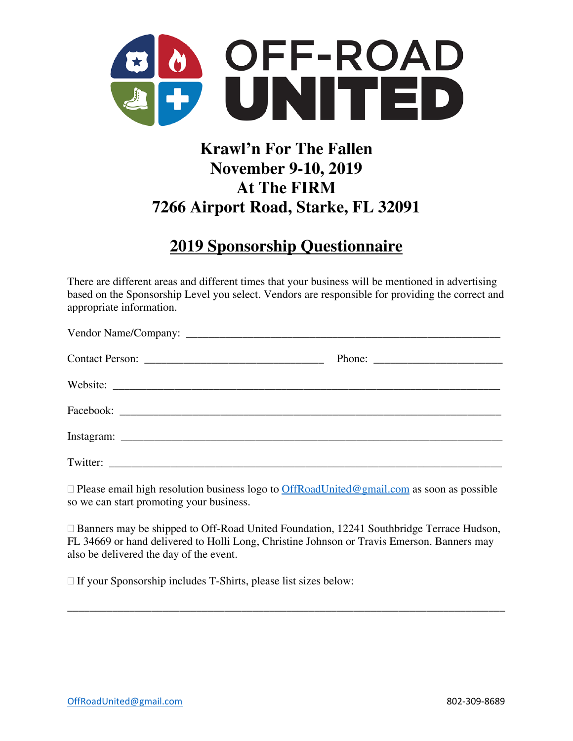

# **Krawl'n For The Fallen November 9-10, 2019 At The FIRM 7266 Airport Road, Starke, FL 32091**

#### **2019 Sponsorship Questionnaire**

There are different areas and different times that your business will be mentioned in advertising based on the Sponsorship Level you select. Vendors are responsible for providing the correct and appropriate information.

 $\Box$  Please email high resolution business logo to  $Off RoadUnited@gmail.com$  as soon as possible so we can start promoting your business.

□ Banners may be shipped to Off-Road United Foundation, 12241 Southbridge Terrace Hudson, FL 34669 or hand delivered to Holli Long, Christine Johnson or Travis Emerson. Banners may also be delivered the day of the event.

\_\_\_\_\_\_\_\_\_\_\_\_\_\_\_\_\_\_\_\_\_\_\_\_\_\_\_\_\_\_\_\_\_\_\_\_\_\_\_\_\_\_\_\_\_\_\_\_\_\_\_\_\_\_\_\_\_\_\_\_\_\_\_\_\_\_\_\_\_\_\_\_\_\_\_\_\_\_

 $\Box$  If your Sponsorship includes T-Shirts, please list sizes below: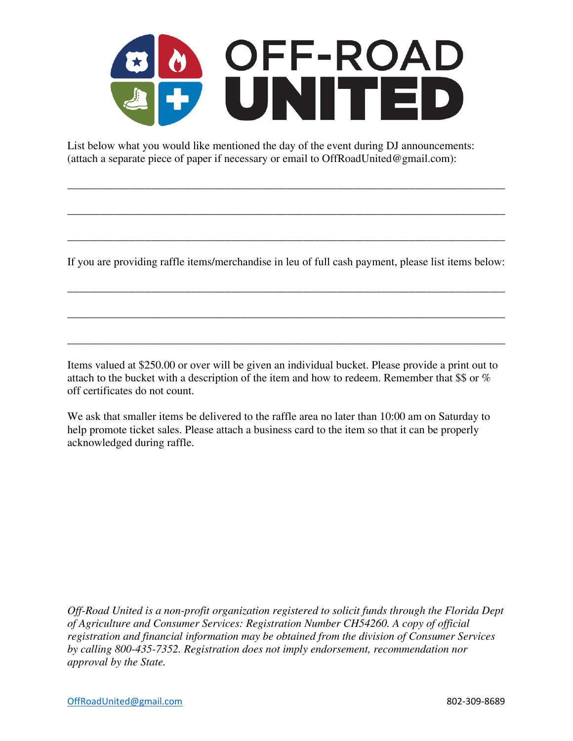

List below what you would like mentioned the day of the event during DJ announcements: (attach a separate piece of paper if necessary or email to OffRoadUnited@gmail.com):

If you are providing raffle items/merchandise in leu of full cash payment, please list items below:

\_\_\_\_\_\_\_\_\_\_\_\_\_\_\_\_\_\_\_\_\_\_\_\_\_\_\_\_\_\_\_\_\_\_\_\_\_\_\_\_\_\_\_\_\_\_\_\_\_\_\_\_\_\_\_\_\_\_\_\_\_\_\_\_\_\_\_\_\_\_\_\_\_\_\_\_\_\_

\_\_\_\_\_\_\_\_\_\_\_\_\_\_\_\_\_\_\_\_\_\_\_\_\_\_\_\_\_\_\_\_\_\_\_\_\_\_\_\_\_\_\_\_\_\_\_\_\_\_\_\_\_\_\_\_\_\_\_\_\_\_\_\_\_\_\_\_\_\_\_\_\_\_\_\_\_\_

\_\_\_\_\_\_\_\_\_\_\_\_\_\_\_\_\_\_\_\_\_\_\_\_\_\_\_\_\_\_\_\_\_\_\_\_\_\_\_\_\_\_\_\_\_\_\_\_\_\_\_\_\_\_\_\_\_\_\_\_\_\_\_\_\_\_\_\_\_\_\_\_\_\_\_\_\_\_

\_\_\_\_\_\_\_\_\_\_\_\_\_\_\_\_\_\_\_\_\_\_\_\_\_\_\_\_\_\_\_\_\_\_\_\_\_\_\_\_\_\_\_\_\_\_\_\_\_\_\_\_\_\_\_\_\_\_\_\_\_\_\_\_\_\_\_\_\_\_\_\_\_\_\_\_\_\_

\_\_\_\_\_\_\_\_\_\_\_\_\_\_\_\_\_\_\_\_\_\_\_\_\_\_\_\_\_\_\_\_\_\_\_\_\_\_\_\_\_\_\_\_\_\_\_\_\_\_\_\_\_\_\_\_\_\_\_\_\_\_\_\_\_\_\_\_\_\_\_\_\_\_\_\_\_\_

\_\_\_\_\_\_\_\_\_\_\_\_\_\_\_\_\_\_\_\_\_\_\_\_\_\_\_\_\_\_\_\_\_\_\_\_\_\_\_\_\_\_\_\_\_\_\_\_\_\_\_\_\_\_\_\_\_\_\_\_\_\_\_\_\_\_\_\_\_\_\_\_\_\_\_\_\_\_

Items valued at \$250.00 or over will be given an individual bucket. Please provide a print out to attach to the bucket with a description of the item and how to redeem. Remember that \$\$ or % off certificates do not count.

We ask that smaller items be delivered to the raffle area no later than 10:00 am on Saturday to help promote ticket sales. Please attach a business card to the item so that it can be properly acknowledged during raffle.

*Off-Road United is a non-profit organization registered to solicit funds through the Florida Dept of Agriculture and Consumer Services: Registration Number CH54260. A copy of official registration and financial information may be obtained from the division of Consumer Services by calling 800-435-7352. Registration does not imply endorsement, recommendation nor approval by the State.*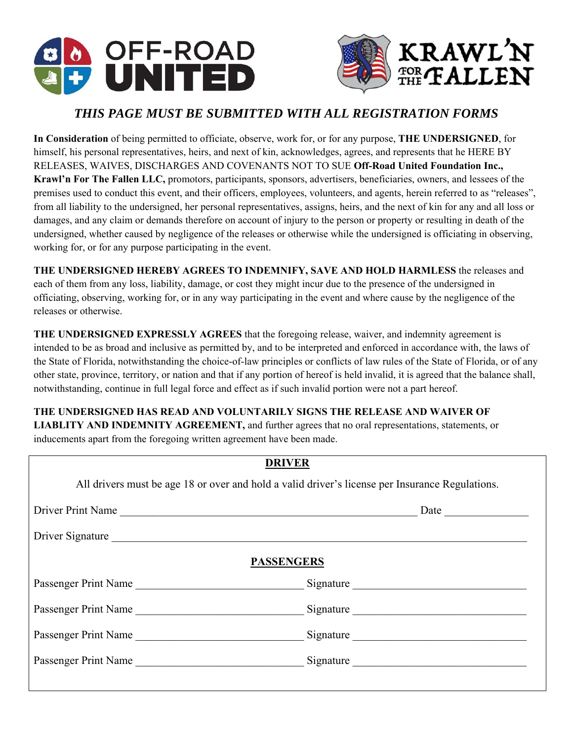



#### *THIS PAGE MUST BE SUBMITTED WITH ALL REGISTRATION FORMS*

**In Consideration** of being permitted to officiate, observe, work for, or for any purpose, **THE UNDERSIGNED**, for himself, his personal representatives, heirs, and next of kin, acknowledges, agrees, and represents that he HERE BY RELEASES, WAIVES, DISCHARGES AND COVENANTS NOT TO SUE **Off-Road United Foundation Inc., Krawl'n For The Fallen LLC,** promotors, participants, sponsors, advertisers, beneficiaries, owners, and lessees of the premises used to conduct this event, and their officers, employees, volunteers, and agents, herein referred to as "releases", from all liability to the undersigned, her personal representatives, assigns, heirs, and the next of kin for any and all loss or damages, and any claim or demands therefore on account of injury to the person or property or resulting in death of the undersigned, whether caused by negligence of the releases or otherwise while the undersigned is officiating in observing, working for, or for any purpose participating in the event.

**THE UNDERSIGNED HEREBY AGREES TO INDEMNIFY, SAVE AND HOLD HARMLESS** the releases and each of them from any loss, liability, damage, or cost they might incur due to the presence of the undersigned in officiating, observing, working for, or in any way participating in the event and where cause by the negligence of the releases or otherwise.

**THE UNDERSIGNED EXPRESSLY AGREES** that the foregoing release, waiver, and indemnity agreement is intended to be as broad and inclusive as permitted by, and to be interpreted and enforced in accordance with, the laws of the State of Florida, notwithstanding the choice-of-law principles or conflicts of law rules of the State of Florida, or of any other state, province, territory, or nation and that if any portion of hereof is held invalid, it is agreed that the balance shall, notwithstanding, continue in full legal force and effect as if such invalid portion were not a part hereof.

**THE UNDERSIGNED HAS READ AND VOLUNTARILY SIGNS THE RELEASE AND WAIVER OF LIABLITY AND INDEMNITY AGREEMENT,** and further agrees that no oral representations, statements, or inducements apart from the foregoing written agreement have been made.

| <b>DRIVER</b>                                                                                   |           |  |  |  |  |
|-------------------------------------------------------------------------------------------------|-----------|--|--|--|--|
| All drivers must be age 18 or over and hold a valid driver's license per Insurance Regulations. |           |  |  |  |  |
| Driver Print Name                                                                               | Date      |  |  |  |  |
| Driver Signature                                                                                |           |  |  |  |  |
| <b>PASSENGERS</b>                                                                               |           |  |  |  |  |
| Passenger Print Name                                                                            | Signature |  |  |  |  |
| Passenger Print Name                                                                            | Signature |  |  |  |  |
| Passenger Print Name                                                                            | Signature |  |  |  |  |
| Passenger Print Name                                                                            |           |  |  |  |  |
|                                                                                                 |           |  |  |  |  |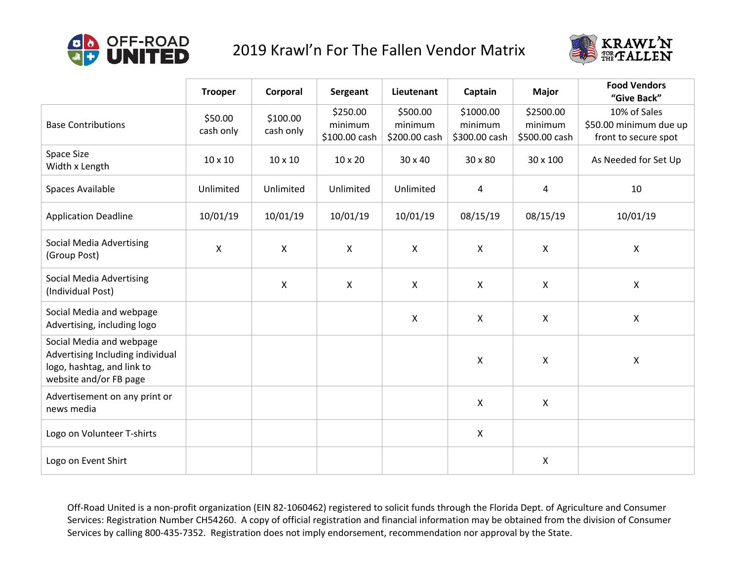

#### 2019 Krawl'n For The Fallen Vendor Matrix



|                                                                                                                      | <b>Trooper</b>       | Corporal              | Sergeant                             | Lieutenant                           | Captain                               | <b>Major</b>                          | <b>Food Vendors</b><br>"Give Back"                             |
|----------------------------------------------------------------------------------------------------------------------|----------------------|-----------------------|--------------------------------------|--------------------------------------|---------------------------------------|---------------------------------------|----------------------------------------------------------------|
| <b>Base Contributions</b>                                                                                            | \$50.00<br>cash only | \$100.00<br>cash only | \$250.00<br>minimum<br>\$100.00 cash | \$500.00<br>minimum<br>\$200.00 cash | \$1000.00<br>minimum<br>\$300.00 cash | \$2500.00<br>minimum<br>\$500.00 cash | 10% of Sales<br>\$50.00 minimum due up<br>front to secure spot |
| Space Size<br>Width x Length                                                                                         | 10 x 10              | 10 x 10               | 10 x 20                              | 30 x 40                              | 30 x 80                               | 30 x 100                              | As Needed for Set Up                                           |
| Spaces Available                                                                                                     | Unlimited            | Unlimited             | Unlimited                            | Unlimited                            | 4                                     | $\overline{4}$                        | 10                                                             |
| <b>Application Deadline</b>                                                                                          | 10/01/19             | 10/01/19              | 10/01/19                             | 10/01/19                             | 08/15/19                              | 08/15/19                              | 10/01/19                                                       |
| <b>Social Media Advertising</b><br>(Group Post)                                                                      | X                    | $\mathsf{X}$          | X                                    | X                                    | $\boldsymbol{\mathsf{X}}$             | $\mathsf{X}$                          | X                                                              |
| <b>Social Media Advertising</b><br>(Individual Post)                                                                 |                      | $\mathsf{X}$          | X                                    | $\mathsf{x}$                         | $\boldsymbol{\mathsf{X}}$             | $\mathsf{X}$                          | $\pmb{\mathsf{X}}$                                             |
| Social Media and webpage<br>Advertising, including logo                                                              |                      |                       |                                      | $\pmb{\times}$                       | $\boldsymbol{\mathsf{X}}$             | $\mathsf{X}$                          | X                                                              |
| Social Media and webpage<br>Advertising Including individual<br>logo, hashtag, and link to<br>website and/or FB page |                      |                       |                                      |                                      | $\boldsymbol{\mathsf{X}}$             | $\mathsf{X}$                          | Χ                                                              |
| Advertisement on any print or<br>news media                                                                          |                      |                       |                                      |                                      | $\boldsymbol{\mathsf{X}}$             | $\mathsf{X}$                          |                                                                |
| Logo on Volunteer T-shirts                                                                                           |                      |                       |                                      |                                      | $\boldsymbol{\mathsf{X}}$             |                                       |                                                                |
| Logo on Event Shirt                                                                                                  |                      |                       |                                      |                                      |                                       | $\mathsf{X}$                          |                                                                |

Off-Road United is a non-profit organization (EIN 82-1060462) registered to solicit funds through the Florida Dept. of Agriculture and Consumer Services: Registration Number CH54260. A copy of official registration and financial information may be obtained from the division of Consumer Services by calling 800‐435‐7352. Registration does not imply endorsement, recommendation nor approval by the State.